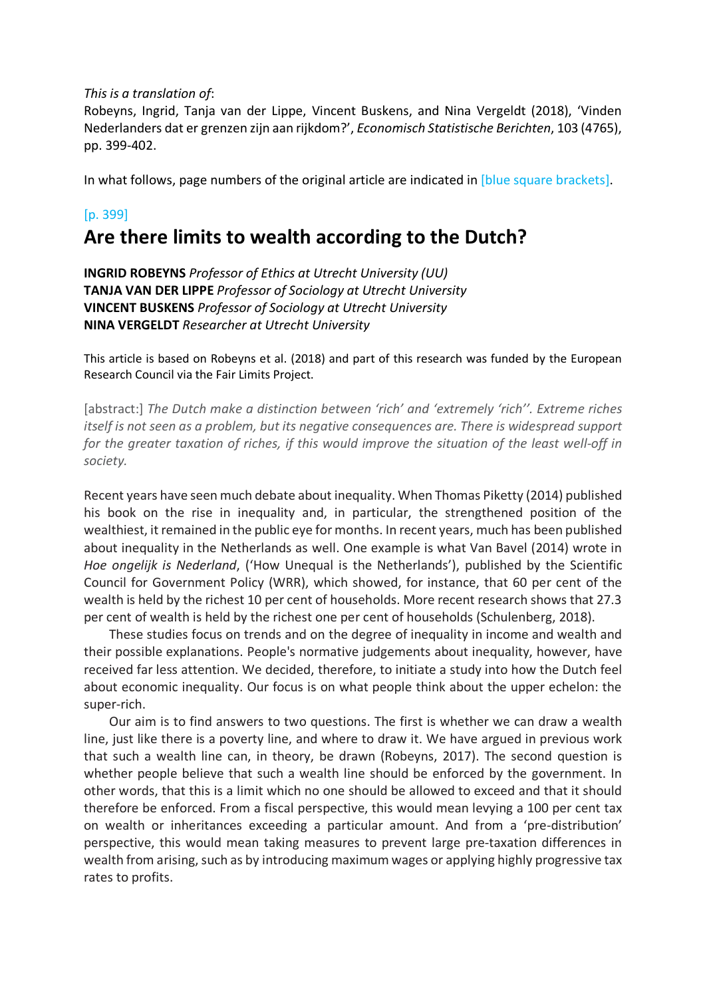*This is a translation of*:

Robeyns, Ingrid, Tanja van der Lippe, Vincent Buskens, and Nina Vergeldt (2018), 'Vinden Nederlanders dat er grenzen zijn aan rijkdom?', *Economisch Statistische Berichten*, 103 (4765), pp. 399-402.

In what follows, page numbers of the original article are indicated in [blue square brackets].

# [p. 399]

# **Are there limits to wealth according to the Dutch?**

**INGRID ROBEYNS** *Professor of Ethics at Utrecht University (UU)* **TANJA VAN DER LIPPE** *Professor of Sociology at Utrecht University* **VINCENT BUSKENS** *Professor of Sociology at Utrecht University* **NINA VERGELDT** *Researcher at Utrecht University*

This article is based on Robeyns et al. (2018) and part of this research was funded by the European Research Council via the Fair Limits Project.

[abstract:] *The Dutch make a distinction between 'rich' and 'extremely 'rich''. Extreme riches itself is not seen as a problem, but its negative consequences are. There is widespread support for the greater taxation of riches, if this would improve the situation of the least well-off in society.*

Recent years have seen much debate about inequality. When Thomas Piketty (2014) published his book on the rise in inequality and, in particular, the strengthened position of the wealthiest, it remained in the public eye for months. In recent years, much has been published about inequality in the Netherlands as well. One example is what Van Bavel (2014) wrote in *Hoe ongelijk is Nederland*, ('How Unequal is the Netherlands'), published by the Scientific Council for Government Policy (WRR), which showed, for instance, that 60 per cent of the wealth is held by the richest 10 per cent of households. More recent research shows that 27.3 per cent of wealth is held by the richest one per cent of households (Schulenberg, 2018).

These studies focus on trends and on the degree of inequality in income and wealth and their possible explanations. People's normative judgements about inequality, however, have received far less attention. We decided, therefore, to initiate a study into how the Dutch feel about economic inequality. Our focus is on what people think about the upper echelon: the super-rich.

Our aim is to find answers to two questions. The first is whether we can draw a wealth line, just like there is a poverty line, and where to draw it. We have argued in previous work that such a wealth line can, in theory, be drawn (Robeyns, 2017). The second question is whether people believe that such a wealth line should be enforced by the government. In other words, that this is a limit which no one should be allowed to exceed and that it should therefore be enforced. From a fiscal perspective, this would mean levying a 100 per cent tax on wealth or inheritances exceeding a particular amount. And from a 'pre-distribution' perspective, this would mean taking measures to prevent large pre-taxation differences in wealth from arising, such as by introducing maximum wages or applying highly progressive tax rates to profits.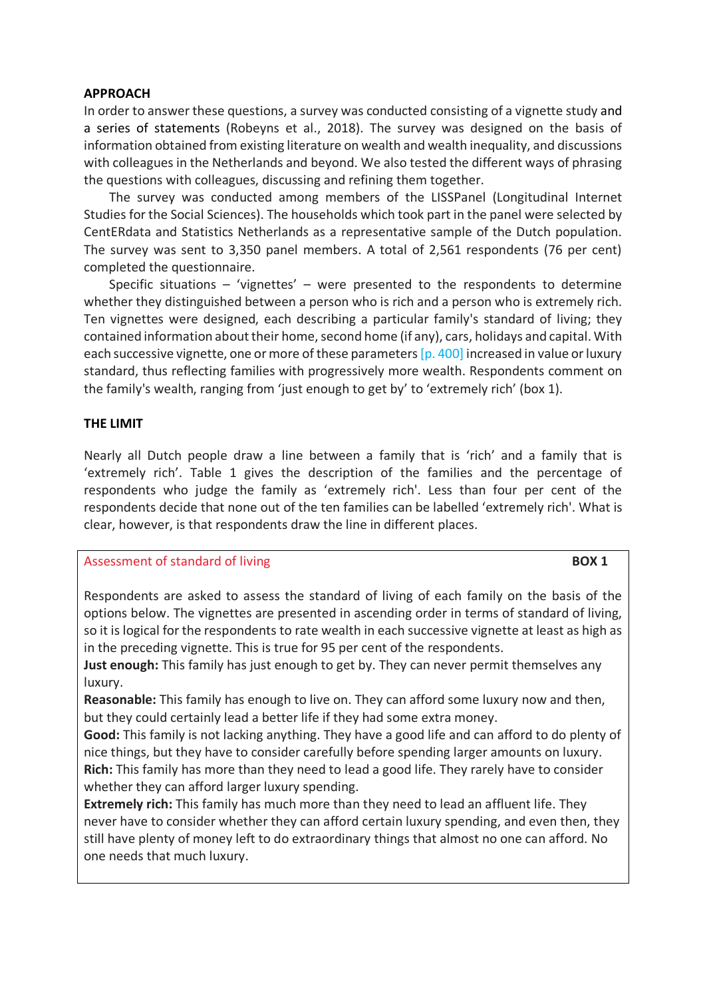## **APPROACH**

In order to answer these questions, a survey was conducted consisting of a vignette study and a series of statements (Robeyns et al., 2018). The survey was designed on the basis of information obtained from existing literature on wealth and wealth inequality, and discussions with colleagues in the Netherlands and beyond. We also tested the different ways of phrasing the questions with colleagues, discussing and refining them together.

The survey was conducted among members of the LISSPanel (Longitudinal Internet Studies for the Social Sciences). The households which took part in the panel were selected by CentERdata and Statistics Netherlands as a representative sample of the Dutch population. The survey was sent to 3,350 panel members. A total of 2,561 respondents (76 per cent) completed the questionnaire.

Specific situations – 'vignettes' – were presented to the respondents to determine whether they distinguished between a person who is rich and a person who is extremely rich. Ten vignettes were designed, each describing a particular family's standard of living; they contained information about their home, second home (if any), cars, holidays and capital. With each successive vignette, one or more of these parameters [p. 400] increased in value or luxury standard, thus reflecting families with progressively more wealth. Respondents comment on the family's wealth, ranging from 'just enough to get by' to 'extremely rich' (box 1).

## **THE LIMIT**

Nearly all Dutch people draw a line between a family that is 'rich' and a family that is 'extremely rich'. Table 1 gives the description of the families and the percentage of respondents who judge the family as 'extremely rich'. Less than four per cent of the respondents decide that none out of the ten families can be labelled 'extremely rich'. What is clear, however, is that respondents draw the line in different places.

# Assessment of standard of living **BOX 1**

Respondents are asked to assess the standard of living of each family on the basis of the options below. The vignettes are presented in ascending order in terms of standard of living, so it is logical for the respondents to rate wealth in each successive vignette at least as high as in the preceding vignette. This is true for 95 per cent of the respondents.

**Just enough:** This family has just enough to get by. They can never permit themselves any luxury.

**Reasonable:** This family has enough to live on. They can afford some luxury now and then, but they could certainly lead a better life if they had some extra money.

**Good:** This family is not lacking anything. They have a good life and can afford to do plenty of nice things, but they have to consider carefully before spending larger amounts on luxury. **Rich:** This family has more than they need to lead a good life. They rarely have to consider whether they can afford larger luxury spending.

**Extremely rich:** This family has much more than they need to lead an affluent life. They never have to consider whether they can afford certain luxury spending, and even then, they still have plenty of money left to do extraordinary things that almost no one can afford. No one needs that much luxury.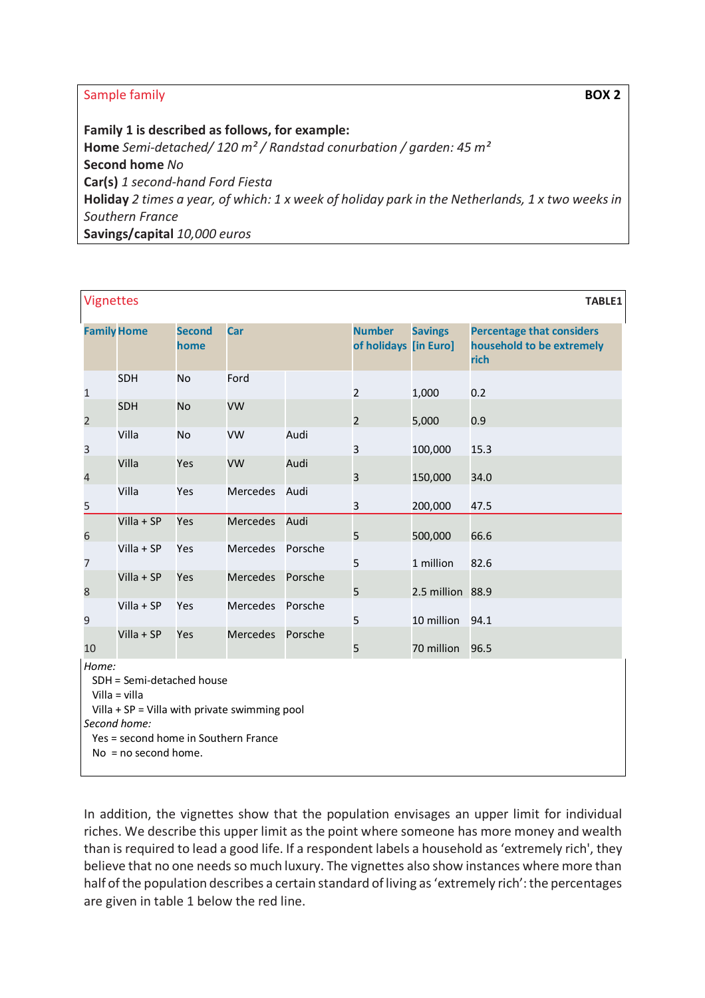# **Sample family <b>BOX 2**

**Family 1 is described as follows, for example: Home** *Semi-detached/ 120 m² / Randstad conurbation / garden: 45 m²* **Second home** *No* **Car(s)** *1 second-hand Ford Fiesta* **Holiday** *2 times a year, of which: 1 x week of holiday park in the Netherlands, 1 x two weeks in Southern France* **Savings/capital** *10,000 euros*

| <b>Vignettes</b><br><b>TABLE1</b> |                                                                                                                              |                       |                                                 |         |                                        |                  |                                                                       |  |
|-----------------------------------|------------------------------------------------------------------------------------------------------------------------------|-----------------------|-------------------------------------------------|---------|----------------------------------------|------------------|-----------------------------------------------------------------------|--|
| <b>Family Home</b>                |                                                                                                                              | <b>Second</b><br>home | Car                                             |         | <b>Number</b><br>of holidays [in Euro] | <b>Savings</b>   | <b>Percentage that considers</b><br>household to be extremely<br>rich |  |
| $\mathbf{1}$                      | SDH                                                                                                                          | <b>No</b>             | Ford                                            |         | $\overline{2}$                         | 1,000            | 0.2                                                                   |  |
| $\overline{2}$                    | SDH                                                                                                                          | <b>No</b>             | <b>VW</b>                                       |         | $\overline{2}$                         | 5,000            | 0.9                                                                   |  |
| 3                                 | Villa                                                                                                                        | <b>No</b>             | VW                                              | Audi    | 3                                      | 100,000          | 15.3                                                                  |  |
| 4                                 | Villa                                                                                                                        | Yes                   | <b>VW</b>                                       | Audi    | 3                                      | 150,000          | 34.0                                                                  |  |
| $\overline{5}$                    | Villa                                                                                                                        | Yes                   | Mercedes                                        | Audi    | 3                                      | 200,000          | 47.5                                                                  |  |
| 6                                 | $Villa + SP$                                                                                                                 | Yes                   | Mercedes                                        | Audi    | 5                                      | 500,000          | 66.6                                                                  |  |
| 7                                 | $Villa + SP$                                                                                                                 | Yes                   | <b>Mercedes</b>                                 | Porsche | 5                                      | 1 million        | 82.6                                                                  |  |
| 8                                 | $Villa + SP$                                                                                                                 | Yes                   | <b>Mercedes</b>                                 | Porsche | 5                                      | 2.5 million 88.9 |                                                                       |  |
| 9                                 | $Villa + SP$                                                                                                                 | Yes                   | Mercedes                                        | Porsche | 5                                      | 10 million       | 94.1                                                                  |  |
| 10                                | Villa + SP                                                                                                                   | Yes                   | Mercedes Porsche                                |         | 5                                      | 70 million       | 96.5                                                                  |  |
| Home:                             | SDH = Semi-detached house<br>Villa = villa<br>Second home:<br>Yes = second home in Southern France<br>$No = no second home.$ |                       | Villa + $SP =$ Villa with private swimming pool |         |                                        |                  |                                                                       |  |

In addition, the vignettes show that the population envisages an upper limit for individual riches. We describe this upper limit as the point where someone has more money and wealth than is required to lead a good life. If a respondent labels a household as 'extremely rich', they believe that no one needs so much luxury. The vignettes also show instances where more than half of the population describes a certain standard of living as 'extremely rich': the percentages are given in table 1 below the red line.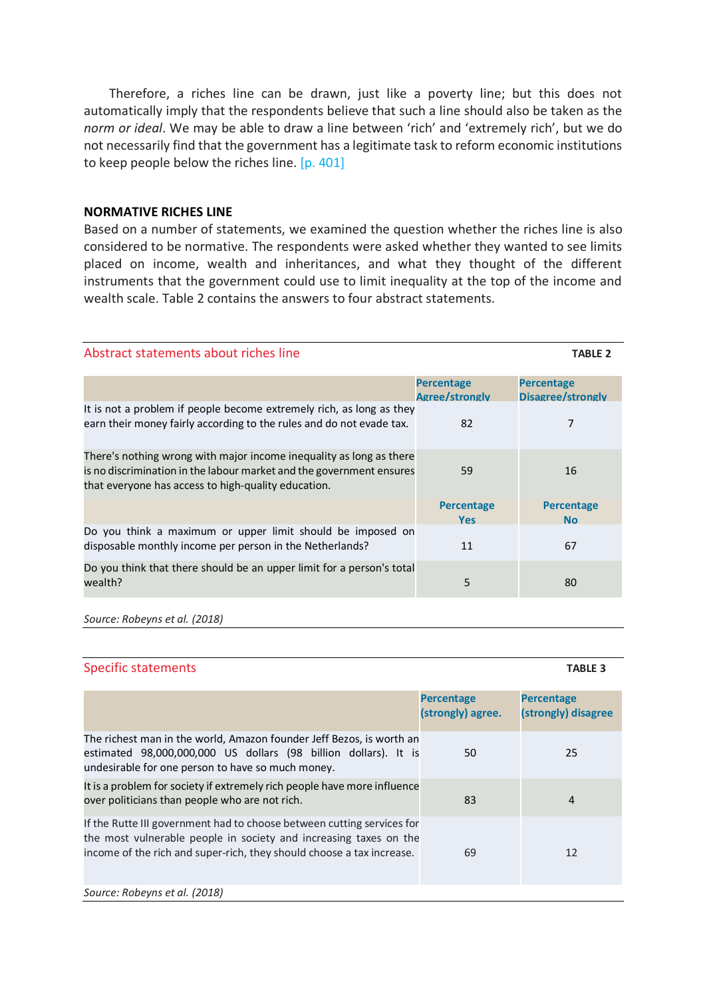Therefore, a riches line can be drawn, just like a poverty line; but this does not automatically imply that the respondents believe that such a line should also be taken as the *norm or ideal*. We may be able to draw a line between 'rich' and 'extremely rich', but we do not necessarily find that the government has a legitimate task to reform economic institutions to keep people below the riches line. [p. 401]

#### **NORMATIVE RICHES LINE**

Based on a number of statements, we examined the question whether the riches line is also considered to be normative. The respondents were asked whether they wanted to see limits placed on income, wealth and inheritances, and what they thought of the different instruments that the government could use to limit inequality at the top of the income and wealth scale. Table 2 contains the answers to four abstract statements.

| Abstract statements about riches line                                                                                                                                                              |                                     | <b>TABLE 2</b>                         |
|----------------------------------------------------------------------------------------------------------------------------------------------------------------------------------------------------|-------------------------------------|----------------------------------------|
|                                                                                                                                                                                                    | <b>Percentage</b><br>Agree/strongly | <b>Percentage</b><br>Disagree/strongly |
| It is not a problem if people become extremely rich, as long as they<br>earn their money fairly according to the rules and do not evade tax.                                                       | 82                                  | 7                                      |
| There's nothing wrong with major income inequality as long as there<br>is no discrimination in the labour market and the government ensures<br>that everyone has access to high-quality education. | 59                                  | 16                                     |
|                                                                                                                                                                                                    | <b>Percentage</b><br><b>Yes</b>     | <b>Percentage</b><br><b>No</b>         |
| Do you think a maximum or upper limit should be imposed on<br>disposable monthly income per person in the Netherlands?                                                                             | 11                                  | 67                                     |
| Do you think that there should be an upper limit for a person's total<br>wealth?                                                                                                                   | 5                                   | 80                                     |

*Source: Robeyns et al. (2018)*

#### Specific statements **TABLE 3**

|                                                                                                                                                                                                                      | <b>Percentage</b><br>(strongly) agree. | <b>Percentage</b><br>(strongly) disagree |
|----------------------------------------------------------------------------------------------------------------------------------------------------------------------------------------------------------------------|----------------------------------------|------------------------------------------|
| The richest man in the world, Amazon founder Jeff Bezos, is worth an<br>estimated 98,000,000,000 US dollars (98 billion dollars). It is<br>undesirable for one person to have so much money.                         | 50                                     | 25                                       |
| It is a problem for society if extremely rich people have more influence<br>over politicians than people who are not rich.                                                                                           | 83                                     | 4                                        |
| If the Rutte III government had to choose between cutting services for<br>the most vulnerable people in society and increasing taxes on the<br>income of the rich and super-rich, they should choose a tax increase. | 69                                     | 12                                       |
| Source: Robeyns et al. (2018)                                                                                                                                                                                        |                                        |                                          |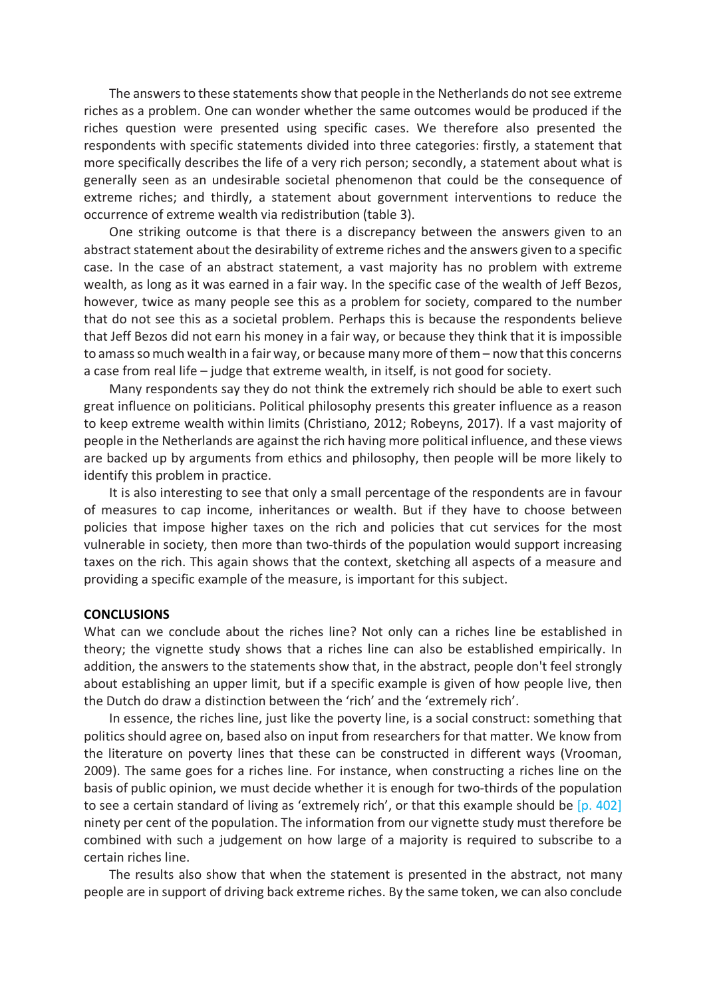The answers to these statements show that people in the Netherlands do not see extreme riches as a problem. One can wonder whether the same outcomes would be produced if the riches question were presented using specific cases. We therefore also presented the respondents with specific statements divided into three categories: firstly, a statement that more specifically describes the life of a very rich person; secondly, a statement about what is generally seen as an undesirable societal phenomenon that could be the consequence of extreme riches; and thirdly, a statement about government interventions to reduce the occurrence of extreme wealth via redistribution (table 3).

One striking outcome is that there is a discrepancy between the answers given to an abstract statement about the desirability of extreme riches and the answers given to a specific case. In the case of an abstract statement, a vast majority has no problem with extreme wealth, as long as it was earned in a fair way. In the specific case of the wealth of Jeff Bezos, however, twice as many people see this as a problem for society, compared to the number that do not see this as a societal problem. Perhaps this is because the respondents believe that Jeff Bezos did not earn his money in a fair way, or because they think that it is impossible to amass so much wealth in a fair way, or because many more of them – now that this concerns a case from real life – judge that extreme wealth, in itself, is not good for society.

Many respondents say they do not think the extremely rich should be able to exert such great influence on politicians. Political philosophy presents this greater influence as a reason to keep extreme wealth within limits (Christiano, 2012; Robeyns, 2017). If a vast majority of people in the Netherlands are against the rich having more political influence, and these views are backed up by arguments from ethics and philosophy, then people will be more likely to identify this problem in practice.

It is also interesting to see that only a small percentage of the respondents are in favour of measures to cap income, inheritances or wealth. But if they have to choose between policies that impose higher taxes on the rich and policies that cut services for the most vulnerable in society, then more than two-thirds of the population would support increasing taxes on the rich. This again shows that the context, sketching all aspects of a measure and providing a specific example of the measure, is important for this subject.

#### **CONCLUSIONS**

What can we conclude about the riches line? Not only can a riches line be established in theory; the vignette study shows that a riches line can also be established empirically. In addition, the answers to the statements show that, in the abstract, people don't feel strongly about establishing an upper limit, but if a specific example is given of how people live, then the Dutch do draw a distinction between the 'rich' and the 'extremely rich'.

In essence, the riches line, just like the poverty line, is a social construct: something that politics should agree on, based also on input from researchers for that matter. We know from the literature on poverty lines that these can be constructed in different ways (Vrooman, 2009). The same goes for a riches line. For instance, when constructing a riches line on the basis of public opinion, we must decide whether it is enough for two-thirds of the population to see a certain standard of living as 'extremely rich', or that this example should be [p. 402] ninety per cent of the population. The information from our vignette study must therefore be combined with such a judgement on how large of a majority is required to subscribe to a certain riches line.

The results also show that when the statement is presented in the abstract, not many people are in support of driving back extreme riches. By the same token, we can also conclude